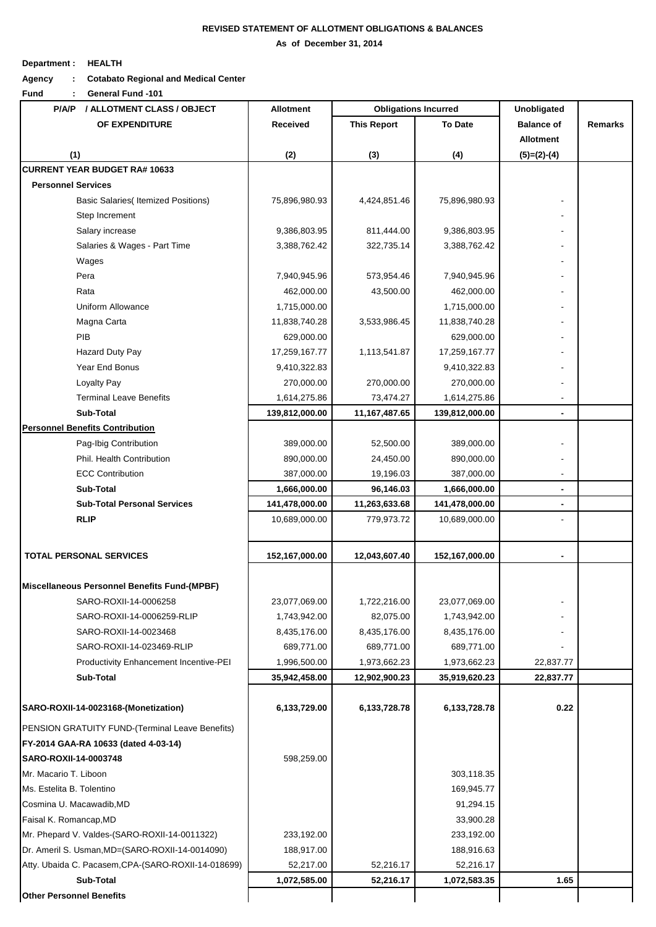## **REVISED STATEMENT OF ALLOTMENT OBLIGATIONS & BALANCES**

 **As of December 31, 2014**

## **Department : HEALTH**

**Agency : Cotabato Regional and Medical Center**

**Fund : General Fund -101**

| / ALLOTMENT CLASS / OBJECT<br>P/A/P                 | <b>Allotment</b> | <b>Obligations Incurred</b> |                | <b>Unobligated</b>                    |                |
|-----------------------------------------------------|------------------|-----------------------------|----------------|---------------------------------------|----------------|
| OF EXPENDITURE                                      | Received         | <b>This Report</b>          | <b>To Date</b> | <b>Balance of</b><br><b>Allotment</b> | <b>Remarks</b> |
| (1)                                                 | (2)              | (3)                         | (4)            | $(5)=(2)-(4)$                         |                |
| <b>CURRENT YEAR BUDGET RA# 10633</b>                |                  |                             |                |                                       |                |
| <b>Personnel Services</b>                           |                  |                             |                |                                       |                |
| <b>Basic Salaries</b> (Itemized Positions)          | 75,896,980.93    | 4,424,851.46                | 75,896,980.93  |                                       |                |
| Step Increment                                      |                  |                             |                |                                       |                |
| Salary increase                                     | 9,386,803.95     | 811,444.00                  | 9,386,803.95   |                                       |                |
| Salaries & Wages - Part Time                        | 3,388,762.42     | 322,735.14                  | 3,388,762.42   |                                       |                |
| Wages                                               |                  |                             |                |                                       |                |
| Pera                                                | 7,940,945.96     | 573,954.46                  | 7,940,945.96   |                                       |                |
| Rata                                                | 462,000.00       | 43,500.00                   | 462,000.00     |                                       |                |
| Uniform Allowance                                   | 1,715,000.00     |                             | 1,715,000.00   |                                       |                |
| Magna Carta                                         | 11,838,740.28    | 3,533,986.45                | 11,838,740.28  |                                       |                |
| PIB                                                 | 629,000.00       |                             | 629,000.00     |                                       |                |
| Hazard Duty Pay                                     | 17,259,167.77    | 1,113,541.87                | 17,259,167.77  |                                       |                |
| Year End Bonus                                      | 9,410,322.83     |                             | 9,410,322.83   |                                       |                |
| Loyalty Pay                                         | 270,000.00       | 270,000.00                  | 270,000.00     |                                       |                |
| <b>Terminal Leave Benefits</b>                      | 1,614,275.86     | 73,474.27                   | 1,614,275.86   |                                       |                |
| Sub-Total                                           | 139,812,000.00   | 11, 167, 487. 65            | 139,812,000.00 | $\qquad \qquad \blacksquare$          |                |
| <b>Personnel Benefits Contribution</b>              |                  |                             |                |                                       |                |
| Pag-Ibig Contribution                               | 389,000.00       | 52,500.00                   | 389,000.00     |                                       |                |
| Phil. Health Contribution                           | 890,000.00       | 24,450.00                   | 890,000.00     |                                       |                |
| <b>ECC Contribution</b>                             | 387,000.00       | 19,196.03                   | 387,000.00     |                                       |                |
| Sub-Total                                           | 1,666,000.00     | 96,146.03                   | 1,666,000.00   | $\blacksquare$                        |                |
| <b>Sub-Total Personal Services</b>                  | 141,478,000.00   | 11,263,633.68               | 141,478,000.00 | $\blacksquare$                        |                |
| <b>RLIP</b>                                         | 10,689,000.00    | 779,973.72                  | 10,689,000.00  |                                       |                |
| <b>TOTAL PERSONAL SERVICES</b>                      | 152,167,000.00   | 12,043,607.40               | 152,167,000.00 | $\blacksquare$                        |                |
| Miscellaneous Personnel Benefits Fund-(MPBF)        |                  |                             |                |                                       |                |
| SARO-ROXII-14-0006258                               | 23,077,069.00    | 1,722,216.00                | 23,077,069.00  |                                       |                |
| SARO-ROXII-14-0006259-RLIP                          | 1,743,942.00     | 82,075.00                   | 1,743,942.00   |                                       |                |
| SARO-ROXII-14-0023468                               | 8,435,176.00     | 8,435,176.00                | 8,435,176.00   |                                       |                |
| SARO-ROXII-14-023469-RLIP                           | 689,771.00       | 689,771.00                  | 689,771.00     |                                       |                |
| Productivity Enhancement Incentive-PEI              | 1,996,500.00     | 1,973,662.23                | 1,973,662.23   | 22,837.77                             |                |
| Sub-Total                                           | 35,942,458.00    | 12,902,900.23               | 35,919,620.23  | 22,837.77                             |                |
|                                                     |                  |                             |                |                                       |                |
| SARO-ROXII-14-0023168-(Monetization)                | 6,133,729.00     | 6,133,728.78                | 6,133,728.78   | 0.22                                  |                |
| PENSION GRATUITY FUND-(Terminal Leave Benefits)     |                  |                             |                |                                       |                |
| FY-2014 GAA-RA 10633 (dated 4-03-14)                |                  |                             |                |                                       |                |
| SARO-ROXII-14-0003748                               | 598,259.00       |                             |                |                                       |                |
| Mr. Macario T. Liboon                               |                  |                             | 303,118.35     |                                       |                |
| Ms. Estelita B. Tolentino                           |                  |                             | 169,945.77     |                                       |                |
| Cosmina U. Macawadib, MD                            |                  |                             | 91,294.15      |                                       |                |
| Faisal K. Romancap, MD                              |                  |                             | 33,900.28      |                                       |                |
| Mr. Phepard V. Valdes-(SARO-ROXII-14-0011322)       | 233,192.00       |                             | 233,192.00     |                                       |                |
| Dr. Ameril S. Usman, MD= (SARO-ROXII-14-0014090)    | 188,917.00       |                             | 188,916.63     |                                       |                |
| Atty. Ubaida C. Pacasem, CPA-(SARO-ROXII-14-018699) | 52,217.00        | 52,216.17                   | 52,216.17      |                                       |                |
| Sub-Total                                           | 1,072,585.00     | 52,216.17                   | 1,072,583.35   | 1.65                                  |                |
| <b>Other Personnel Benefits</b>                     |                  |                             |                |                                       |                |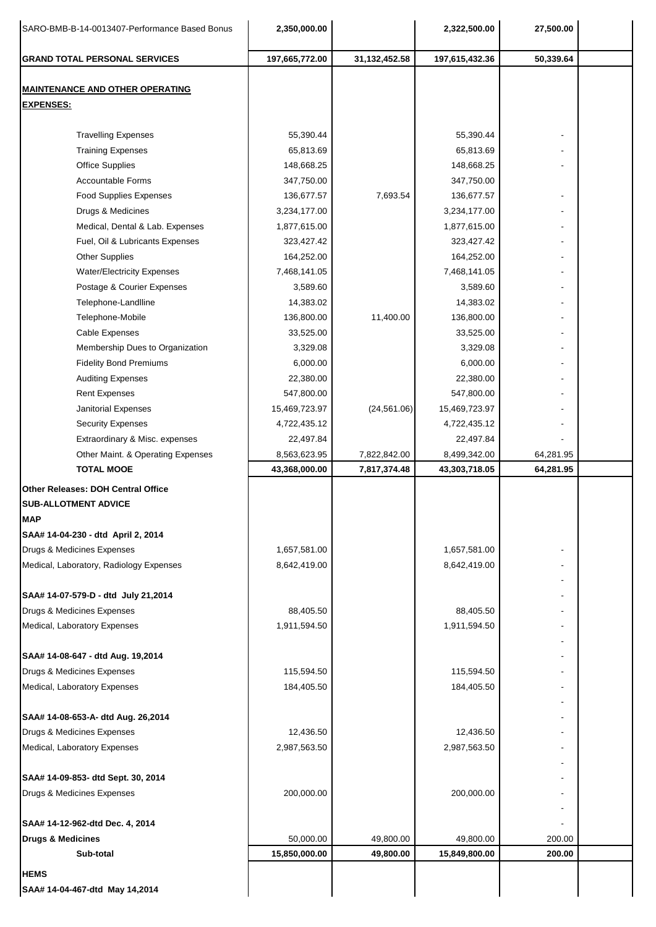| SARO-BMB-B-14-0013407-Performance Based Bonus | 2,350,000.00   |                  | 2,322,500.00   | 27,500.00 |  |
|-----------------------------------------------|----------------|------------------|----------------|-----------|--|
| <b>GRAND TOTAL PERSONAL SERVICES</b>          | 197,665,772.00 | 31, 132, 452. 58 | 197,615,432.36 | 50,339.64 |  |
| <b>MAINTENANCE AND OTHER OPERATING</b>        |                |                  |                |           |  |
| <b>EXPENSES:</b>                              |                |                  |                |           |  |
|                                               |                |                  |                |           |  |
| <b>Travelling Expenses</b>                    | 55,390.44      |                  | 55,390.44      |           |  |
| <b>Training Expenses</b>                      | 65,813.69      |                  | 65,813.69      |           |  |
| <b>Office Supplies</b>                        | 148,668.25     |                  | 148,668.25     |           |  |
| <b>Accountable Forms</b>                      | 347,750.00     |                  | 347,750.00     |           |  |
| <b>Food Supplies Expenses</b>                 | 136,677.57     | 7,693.54         | 136,677.57     |           |  |
| Drugs & Medicines                             | 3,234,177.00   |                  | 3,234,177.00   |           |  |
| Medical, Dental & Lab. Expenses               | 1,877,615.00   |                  | 1,877,615.00   |           |  |
| Fuel, Oil & Lubricants Expenses               | 323,427.42     |                  | 323,427.42     |           |  |
| <b>Other Supplies</b>                         | 164,252.00     |                  | 164,252.00     |           |  |
| <b>Water/Electricity Expenses</b>             | 7,468,141.05   |                  | 7,468,141.05   |           |  |
| Postage & Courier Expenses                    | 3,589.60       |                  | 3,589.60       |           |  |
| Telephone-Landlline                           | 14,383.02      |                  | 14,383.02      |           |  |
| Telephone-Mobile                              | 136,800.00     | 11,400.00        | 136,800.00     |           |  |
| Cable Expenses                                | 33,525.00      |                  | 33,525.00      |           |  |
| Membership Dues to Organization               | 3,329.08       |                  | 3,329.08       |           |  |
| <b>Fidelity Bond Premiums</b>                 | 6,000.00       |                  | 6,000.00       |           |  |
| <b>Auditing Expenses</b>                      | 22,380.00      |                  | 22,380.00      |           |  |
| <b>Rent Expenses</b>                          | 547,800.00     |                  | 547,800.00     |           |  |
| Janitorial Expenses                           | 15,469,723.97  | (24, 561.06)     | 15,469,723.97  |           |  |
| <b>Security Expenses</b>                      | 4,722,435.12   |                  | 4,722,435.12   |           |  |
| Extraordinary & Misc. expenses                | 22,497.84      |                  | 22,497.84      |           |  |
| Other Maint. & Operating Expenses             | 8,563,623.95   | 7,822,842.00     | 8,499,342.00   | 64,281.95 |  |
| <b>TOTAL MOOE</b>                             | 43,368,000.00  | 7,817,374.48     | 43,303,718.05  | 64,281.95 |  |
| Other Releases: DOH Central Office            |                |                  |                |           |  |
| <b>SUB-ALLOTMENT ADVICE</b>                   |                |                  |                |           |  |
| <b>MAP</b>                                    |                |                  |                |           |  |
| SAA# 14-04-230 - dtd April 2, 2014            |                |                  |                |           |  |
| Drugs & Medicines Expenses                    | 1,657,581.00   |                  | 1,657,581.00   |           |  |
| Medical, Laboratory, Radiology Expenses       | 8,642,419.00   |                  | 8,642,419.00   |           |  |
|                                               |                |                  |                |           |  |
| SAA# 14-07-579-D - dtd July 21,2014           |                |                  |                |           |  |
| Drugs & Medicines Expenses                    | 88,405.50      |                  | 88,405.50      |           |  |
| Medical, Laboratory Expenses                  | 1,911,594.50   |                  | 1,911,594.50   |           |  |
|                                               |                |                  |                |           |  |
| SAA# 14-08-647 - dtd Aug. 19,2014             |                |                  |                |           |  |
| Drugs & Medicines Expenses                    | 115,594.50     |                  | 115,594.50     |           |  |
| Medical, Laboratory Expenses                  | 184,405.50     |                  | 184,405.50     |           |  |
|                                               |                |                  |                |           |  |
| SAA# 14-08-653-A- dtd Aug. 26,2014            |                |                  |                |           |  |
| Drugs & Medicines Expenses                    | 12,436.50      |                  | 12,436.50      |           |  |
| Medical, Laboratory Expenses                  | 2,987,563.50   |                  | 2,987,563.50   |           |  |
|                                               |                |                  |                |           |  |
| SAA# 14-09-853- dtd Sept. 30, 2014            |                |                  |                |           |  |
| Drugs & Medicines Expenses                    | 200,000.00     |                  | 200,000.00     |           |  |
|                                               |                |                  |                |           |  |
| SAA# 14-12-962-dtd Dec. 4, 2014               |                |                  |                |           |  |
| <b>Drugs &amp; Medicines</b>                  | 50,000.00      | 49,800.00        | 49,800.00      | 200.00    |  |
| Sub-total                                     | 15,850,000.00  | 49,800.00        | 15,849,800.00  | 200.00    |  |
| <b>HEMS</b>                                   |                |                  |                |           |  |
| SAA# 14-04-467-dtd May 14,2014                |                |                  |                |           |  |
|                                               |                |                  |                |           |  |